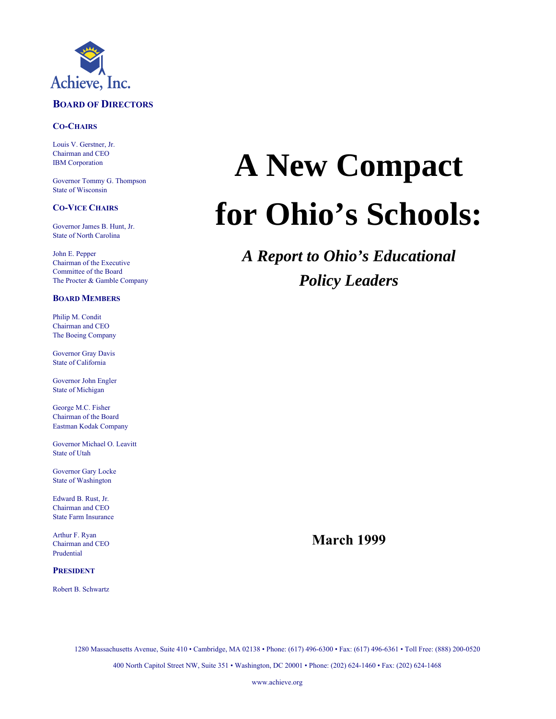

#### **BOARD OF DIRECTORS**

#### **CO-CHAIRS**

Louis V. Gerstner, Jr. Chairman and CEO IBM Corporation

Governor Tommy G. Thompson State of Wisconsin

#### **CO-VICE CHAIRS**

Governor James B. Hunt, Jr. State of North Carolina

John E. Pepper Chairman of the Executive Committee of the Board The Procter & Gamble Company

#### **BOARD MEMBERS**

Philip M. Condit Chairman and CEO The Boeing Company

Governor Gray Davis State of California

Governor John Engler State of Michigan

George M.C. Fisher Chairman of the Board Eastman Kodak Company

Governor Michael O. Leavitt State of Utah

Governor Gary Locke State of Washington

Edward B. Rust, Jr. Chairman and CEO State Farm Insurance

Arthur F. Ryan Chairman and CEO Prudential

#### **PRESIDENT**

Robert B. Schwartz

# **A New Compact for Ohio's Schools:**

*A Report to Ohio's Educational Policy Leaders*

**March 1999**

1280 Massachusetts Avenue, Suite 410 • Cambridge, MA 02138 • Phone: (617) 496-6300 • Fax: (617) 496-6361 • Toll Free: (888) 200-0520 400 North Capitol Street NW, Suite 351 • Washington, DC 20001 • Phone: (202) 624-1460 • Fax: (202) 624-1468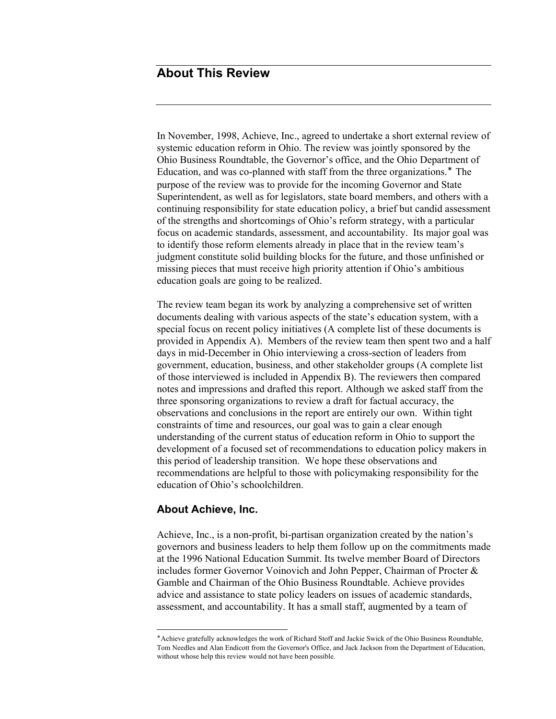# **About This Review**

In November, 1998, Achieve, Inc., agreed to undertake a short external review of systemic education reform in Ohio. The review was jointly sponsored by the Ohio Business Roundtable, the Governor's office, and the Ohio Department of Education, and was co-planned with staff from the three organizations.<sup>∗</sup> The purpose of the review was to provide for the incoming Governor and State Superintendent, as well as for legislators, state board members, and others with a continuing responsibility for state education policy, a brief but candid assessment of the strengths and shortcomings of Ohio's reform strategy, with a particular focus on academic standards, assessment, and accountability. Its major goal was to identify those reform elements already in place that in the review team's judgment constitute solid building blocks for the future, and those unfinished or missing pieces that must receive high priority attention if Ohio's ambitious education goals are going to be realized.

The review team began its work by analyzing a comprehensive set of written documents dealing with various aspects of the state's education system, with a special focus on recent policy initiatives (A complete list of these documents is provided in Appendix A). Members of the review team then spent two and a half days in mid-December in Ohio interviewing a cross-section of leaders from government, education, business, and other stakeholder groups (A complete list of those interviewed is included in Appendix B). The reviewers then compared notes and impressions and drafted this report. Although we asked staff from the three sponsoring organizations to review a draft for factual accuracy, the observations and conclusions in the report are entirely our own. Within tight constraints of time and resources, our goal was to gain a clear enough understanding of the current status of education reform in Ohio to support the development of a focused set of recommendations to education policy makers in this period of leadership transition. We hope these observations and recommendations are helpful to those with policymaking responsibility for the education of Ohio's schoolchildren.

#### **About Achieve, Inc.**

 $\overline{a}$ 

Achieve, Inc., is a non-profit, bi-partisan organization created by the nation's governors and business leaders to help them follow up on the commitments made at the 1996 National Education Summit. Its twelve member Board of Directors includes former Governor Voinovich and John Pepper, Chairman of Procter & Gamble and Chairman of the Ohio Business Roundtable. Achieve provides advice and assistance to state policy leaders on issues of academic standards, assessment, and accountability. It has a small staff, augmented by a team of

<sup>∗</sup> Achieve gratefully acknowledges the work of Richard Stoff and Jackie Swick of the Ohio Business Roundtable, Tom Needles and Alan Endicott from the Governor's Office, and Jack Jackson from the Department of Education, without whose help this review would not have been possible.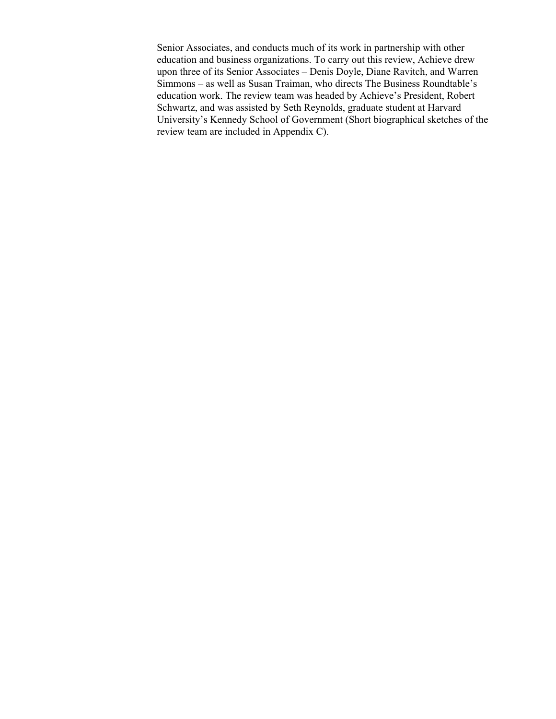Senior Associates, and conducts much of its work in partnership with other education and business organizations. To carry out this review, Achieve drew upon three of its Senior Associates – Denis Doyle, Diane Ravitch, and Warren Simmons – as well as Susan Traiman, who directs The Business Roundtable's education work. The review team was headed by Achieve's President, Robert Schwartz, and was assisted by Seth Reynolds, graduate student at Harvard University's Kennedy School of Government (Short biographical sketches of the review team are included in Appendix C).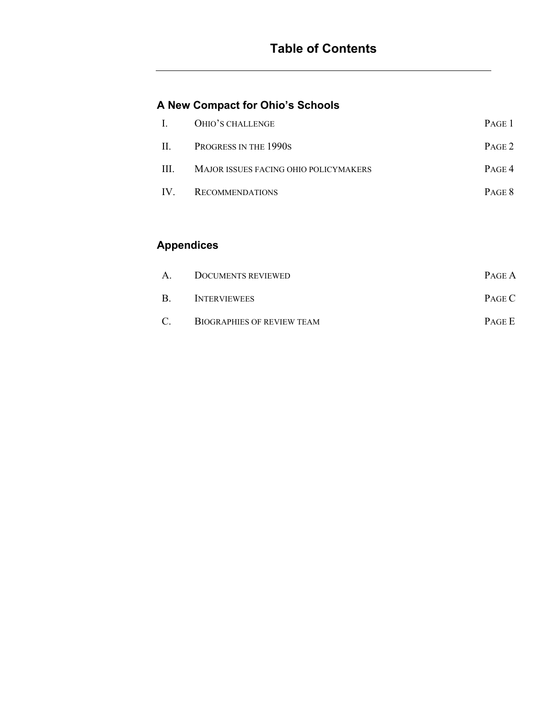# **A New Compact for Ohio's Schools**

|     | I. OHIO'S CHALLENGE                   | PAGE 1 |
|-----|---------------------------------------|--------|
|     | II. PROGRESS IN THE 1990S             | PAGE 2 |
| III | MAJOR ISSUES FACING OHIO POLICYMAKERS | PAGE 4 |
|     | IV. RECOMMENDATIONS                   | PAGE 8 |

# **Appendices**

| A      | DOCUMENTS REVIEWED                | PAGE A        |
|--------|-----------------------------------|---------------|
| B      | <b>INTERVIEWEES</b>               | PAGE C        |
| $\cap$ | <b>BIOGRAPHIES OF REVIEW TEAM</b> | <b>PAGE E</b> |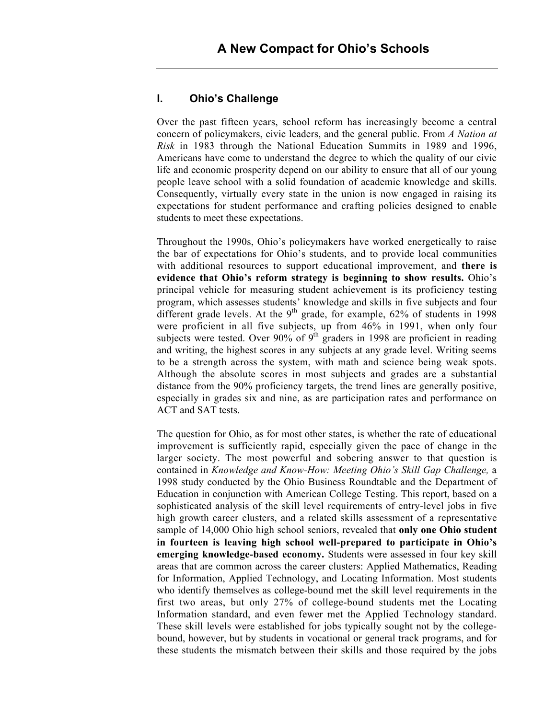#### **I. Ohio's Challenge**

Over the past fifteen years, school reform has increasingly become a central concern of policymakers, civic leaders, and the general public. From *A Nation at Risk* in 1983 through the National Education Summits in 1989 and 1996, Americans have come to understand the degree to which the quality of our civic life and economic prosperity depend on our ability to ensure that all of our young people leave school with a solid foundation of academic knowledge and skills. Consequently, virtually every state in the union is now engaged in raising its expectations for student performance and crafting policies designed to enable students to meet these expectations.

Throughout the 1990s, Ohio's policymakers have worked energetically to raise the bar of expectations for Ohio's students, and to provide local communities with additional resources to support educational improvement, and **there is evidence that Ohio's reform strategy is beginning to show results.** Ohio's principal vehicle for measuring student achievement is its proficiency testing program, which assesses students' knowledge and skills in five subjects and four different grade levels. At the  $9<sup>th</sup>$  grade, for example, 62% of students in 1998 were proficient in all five subjects, up from 46% in 1991, when only four subjects were tested. Over 90% of  $9<sup>th</sup>$  graders in 1998 are proficient in reading and writing, the highest scores in any subjects at any grade level. Writing seems to be a strength across the system, with math and science being weak spots. Although the absolute scores in most subjects and grades are a substantial distance from the 90% proficiency targets, the trend lines are generally positive, especially in grades six and nine, as are participation rates and performance on ACT and SAT tests.

The question for Ohio, as for most other states, is whether the rate of educational improvement is sufficiently rapid, especially given the pace of change in the larger society. The most powerful and sobering answer to that question is contained in *Knowledge and Know-How: Meeting Ohio's Skill Gap Challenge,* a 1998 study conducted by the Ohio Business Roundtable and the Department of Education in conjunction with American College Testing. This report, based on a sophisticated analysis of the skill level requirements of entry-level jobs in five high growth career clusters, and a related skills assessment of a representative sample of 14,000 Ohio high school seniors, revealed that **only one Ohio student in fourteen is leaving high school well-prepared to participate in Ohio's emerging knowledge-based economy.** Students were assessed in four key skill areas that are common across the career clusters: Applied Mathematics, Reading for Information, Applied Technology, and Locating Information. Most students who identify themselves as college-bound met the skill level requirements in the first two areas, but only 27% of college-bound students met the Locating Information standard, and even fewer met the Applied Technology standard. These skill levels were established for jobs typically sought not by the collegebound, however, but by students in vocational or general track programs, and for these students the mismatch between their skills and those required by the jobs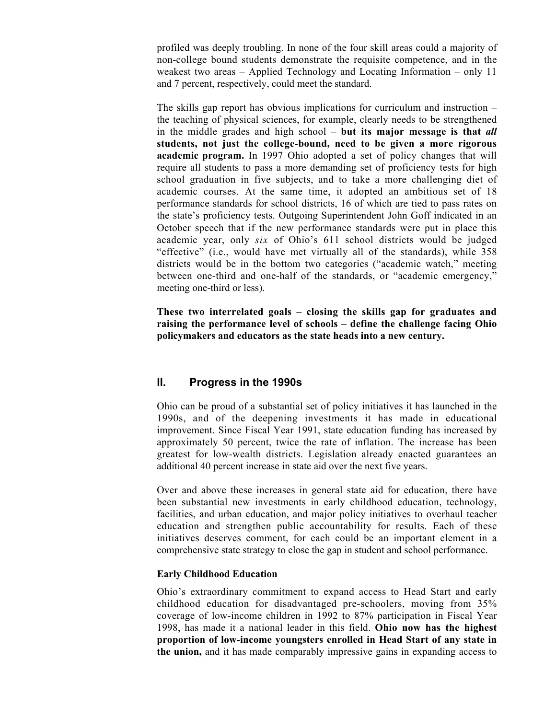profiled was deeply troubling. In none of the four skill areas could a majority of non-college bound students demonstrate the requisite competence, and in the weakest two areas – Applied Technology and Locating Information – only 11 and 7 percent, respectively, could meet the standard.

The skills gap report has obvious implications for curriculum and instruction – the teaching of physical sciences, for example, clearly needs to be strengthened in the middle grades and high school – **but its major message is that** *all* **students, not just the college-bound, need to be given a more rigorous academic program.** In 1997 Ohio adopted a set of policy changes that will require all students to pass a more demanding set of proficiency tests for high school graduation in five subjects, and to take a more challenging diet of academic courses. At the same time, it adopted an ambitious set of 18 performance standards for school districts, 16 of which are tied to pass rates on the state's proficiency tests. Outgoing Superintendent John Goff indicated in an October speech that if the new performance standards were put in place this academic year, only *six* of Ohio's 611 school districts would be judged "effective" (i.e., would have met virtually all of the standards), while 358 districts would be in the bottom two categories ("academic watch," meeting between one-third and one-half of the standards, or "academic emergency," meeting one-third or less).

**These two interrelated goals – closing the skills gap for graduates and raising the performance level of schools – define the challenge facing Ohio policymakers and educators as the state heads into a new century.**

#### **II. Progress in the 1990s**

Ohio can be proud of a substantial set of policy initiatives it has launched in the 1990s, and of the deepening investments it has made in educational improvement. Since Fiscal Year 1991, state education funding has increased by approximately 50 percent, twice the rate of inflation. The increase has been greatest for low-wealth districts. Legislation already enacted guarantees an additional 40 percent increase in state aid over the next five years.

Over and above these increases in general state aid for education, there have been substantial new investments in early childhood education, technology, facilities, and urban education, and major policy initiatives to overhaul teacher education and strengthen public accountability for results. Each of these initiatives deserves comment, for each could be an important element in a comprehensive state strategy to close the gap in student and school performance.

#### **Early Childhood Education**

Ohio's extraordinary commitment to expand access to Head Start and early childhood education for disadvantaged pre-schoolers, moving from 35% coverage of low-income children in 1992 to 87% participation in Fiscal Year 1998, has made it a national leader in this field. **Ohio now has the highest proportion of low-income youngsters enrolled in Head Start of any state in the union,** and it has made comparably impressive gains in expanding access to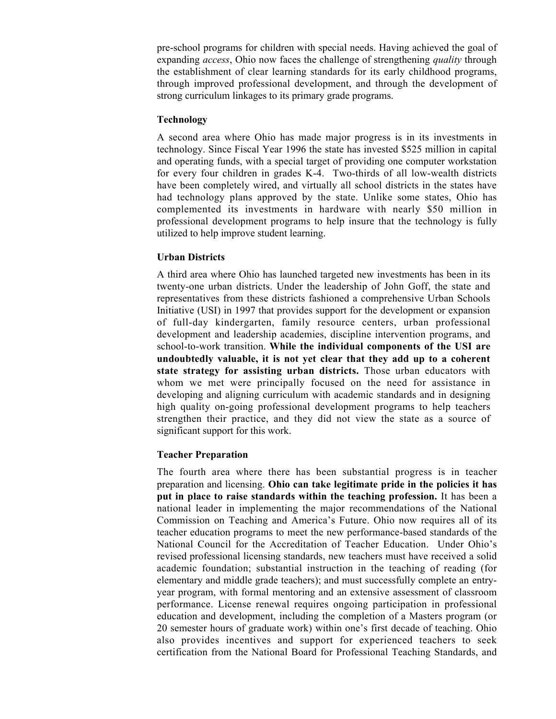pre-school programs for children with special needs. Having achieved the goal of expanding *access*, Ohio now faces the challenge of strengthening *quality* through the establishment of clear learning standards for its early childhood programs, through improved professional development, and through the development of strong curriculum linkages to its primary grade programs.

#### **Technology**

A second area where Ohio has made major progress is in its investments in technology. Since Fiscal Year 1996 the state has invested \$525 million in capital and operating funds, with a special target of providing one computer workstation for every four children in grades K-4. Two-thirds of all low-wealth districts have been completely wired, and virtually all school districts in the states have had technology plans approved by the state. Unlike some states, Ohio has complemented its investments in hardware with nearly \$50 million in professional development programs to help insure that the technology is fully utilized to help improve student learning.

#### **Urban Districts**

A third area where Ohio has launched targeted new investments has been in its twenty-one urban districts. Under the leadership of John Goff, the state and representatives from these districts fashioned a comprehensive Urban Schools Initiative (USI) in 1997 that provides support for the development or expansion of full-day kindergarten, family resource centers, urban professional development and leadership academies, discipline intervention programs, and school-to-work transition. **While the individual components of the USI are undoubtedly valuable, it is not yet clear that they add up to a coherent state strategy for assisting urban districts.** Those urban educators with whom we met were principally focused on the need for assistance in developing and aligning curriculum with academic standards and in designing high quality on-going professional development programs to help teachers strengthen their practice, and they did not view the state as a source of significant support for this work.

#### **Teacher Preparation**

The fourth area where there has been substantial progress is in teacher preparation and licensing. **Ohio can take legitimate pride in the policies it has put in place to raise standards within the teaching profession.** It has been a national leader in implementing the major recommendations of the National Commission on Teaching and America's Future. Ohio now requires all of its teacher education programs to meet the new performance-based standards of the National Council for the Accreditation of Teacher Education. Under Ohio's revised professional licensing standards, new teachers must have received a solid academic foundation; substantial instruction in the teaching of reading (for elementary and middle grade teachers); and must successfully complete an entryyear program, with formal mentoring and an extensive assessment of classroom performance. License renewal requires ongoing participation in professional education and development, including the completion of a Masters program (or 20 semester hours of graduate work) within one's first decade of teaching. Ohio also provides incentives and support for experienced teachers to seek certification from the National Board for Professional Teaching Standards, and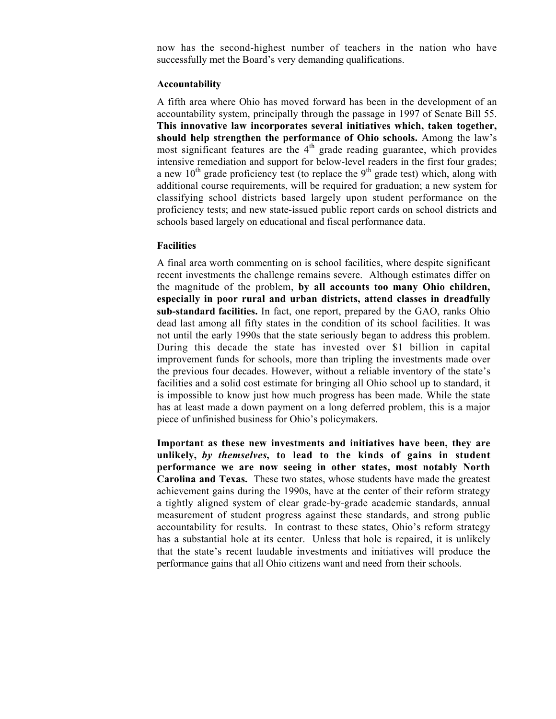now has the second-highest number of teachers in the nation who have successfully met the Board's very demanding qualifications.

#### **Accountability**

A fifth area where Ohio has moved forward has been in the development of an accountability system, principally through the passage in 1997 of Senate Bill 55. **This innovative law incorporates several initiatives which, taken together, should help strengthen the performance of Ohio schools.** Among the law's most significant features are the 4<sup>th</sup> grade reading guarantee, which provides intensive remediation and support for below-level readers in the first four grades; a new  $10^{th}$  grade proficiency test (to replace the  $9^{th}$  grade test) which, along with additional course requirements, will be required for graduation; a new system for classifying school districts based largely upon student performance on the proficiency tests; and new state-issued public report cards on school districts and schools based largely on educational and fiscal performance data.

#### **Facilities**

A final area worth commenting on is school facilities, where despite significant recent investments the challenge remains severe. Although estimates differ on the magnitude of the problem, **by all accounts too many Ohio children, especially in poor rural and urban districts, attend classes in dreadfully sub-standard facilities.** In fact, one report, prepared by the GAO, ranks Ohio dead last among all fifty states in the condition of its school facilities. It was not until the early 1990s that the state seriously began to address this problem. During this decade the state has invested over \$1 billion in capital improvement funds for schools, more than tripling the investments made over the previous four decades. However, without a reliable inventory of the state's facilities and a solid cost estimate for bringing all Ohio school up to standard, it is impossible to know just how much progress has been made. While the state has at least made a down payment on a long deferred problem, this is a major piece of unfinished business for Ohio's policymakers.

**Important as these new investments and initiatives have been, they are unlikely,** *by themselves***, to lead to the kinds of gains in student performance we are now seeing in other states, most notably North Carolina and Texas.** These two states, whose students have made the greatest achievement gains during the 1990s, have at the center of their reform strategy a tightly aligned system of clear grade-by-grade academic standards, annual measurement of student progress against these standards, and strong public accountability for results. In contrast to these states, Ohio's reform strategy has a substantial hole at its center. Unless that hole is repaired, it is unlikely that the state's recent laudable investments and initiatives will produce the performance gains that all Ohio citizens want and need from their schools.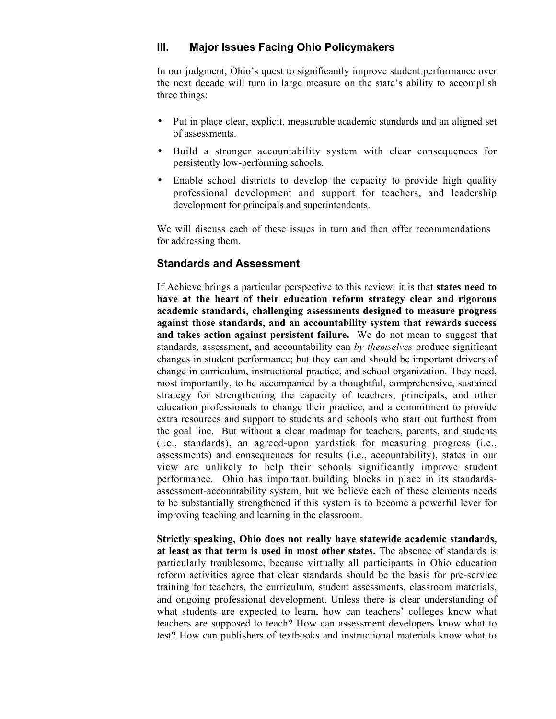### **III. Major Issues Facing Ohio Policymakers**

In our judgment, Ohio's quest to significantly improve student performance over the next decade will turn in large measure on the state's ability to accomplish three things:

- Put in place clear, explicit, measurable academic standards and an aligned set of assessments.
- Build a stronger accountability system with clear consequences for persistently low-performing schools.
- Enable school districts to develop the capacity to provide high quality professional development and support for teachers, and leadership development for principals and superintendents.

We will discuss each of these issues in turn and then offer recommendations for addressing them.

#### **Standards and Assessment**

If Achieve brings a particular perspective to this review, it is that **states need to have at the heart of their education reform strategy clear and rigorous academic standards, challenging assessments designed to measure progress against those standards, and an accountability system that rewards success and takes action against persistent failure.** We do not mean to suggest that standards, assessment, and accountability can *by themselves* produce significant changes in student performance; but they can and should be important drivers of change in curriculum, instructional practice, and school organization. They need, most importantly, to be accompanied by a thoughtful, comprehensive, sustained strategy for strengthening the capacity of teachers, principals, and other education professionals to change their practice, and a commitment to provide extra resources and support to students and schools who start out furthest from the goal line. But without a clear roadmap for teachers, parents, and students (i.e., standards), an agreed-upon yardstick for measuring progress (i.e., assessments) and consequences for results (i.e., accountability), states in our view are unlikely to help their schools significantly improve student performance. Ohio has important building blocks in place in its standardsassessment-accountability system, but we believe each of these elements needs to be substantially strengthened if this system is to become a powerful lever for improving teaching and learning in the classroom.

**Strictly speaking, Ohio does not really have statewide academic standards, at least as that term is used in most other states.** The absence of standards is particularly troublesome, because virtually all participants in Ohio education reform activities agree that clear standards should be the basis for pre-service training for teachers, the curriculum, student assessments, classroom materials, and ongoing professional development. Unless there is clear understanding of what students are expected to learn, how can teachers' colleges know what teachers are supposed to teach? How can assessment developers know what to test? How can publishers of textbooks and instructional materials know what to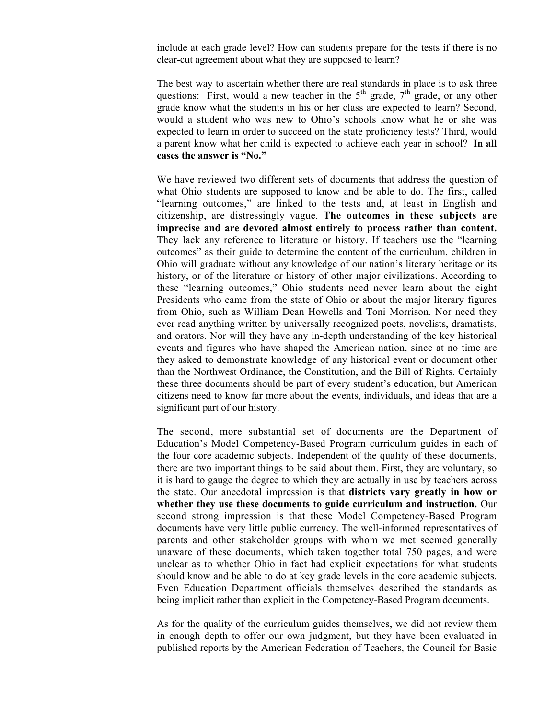include at each grade level? How can students prepare for the tests if there is no clear-cut agreement about what they are supposed to learn?

The best way to ascertain whether there are real standards in place is to ask three questions: First, would a new teacher in the  $5<sup>th</sup>$  grade,  $7<sup>th</sup>$  grade, or any other grade know what the students in his or her class are expected to learn? Second, would a student who was new to Ohio's schools know what he or she was expected to learn in order to succeed on the state proficiency tests? Third, would a parent know what her child is expected to achieve each year in school? **In all cases the answer is "No."**

We have reviewed two different sets of documents that address the question of what Ohio students are supposed to know and be able to do. The first, called "learning outcomes," are linked to the tests and, at least in English and citizenship, are distressingly vague. **The outcomes in these subjects are imprecise and are devoted almost entirely to process rather than content.** They lack any reference to literature or history. If teachers use the "learning outcomes" as their guide to determine the content of the curriculum, children in Ohio will graduate without any knowledge of our nation's literary heritage or its history, or of the literature or history of other major civilizations. According to these "learning outcomes," Ohio students need never learn about the eight Presidents who came from the state of Ohio or about the major literary figures from Ohio, such as William Dean Howells and Toni Morrison. Nor need they ever read anything written by universally recognized poets, novelists, dramatists, and orators. Nor will they have any in-depth understanding of the key historical events and figures who have shaped the American nation, since at no time are they asked to demonstrate knowledge of any historical event or document other than the Northwest Ordinance, the Constitution, and the Bill of Rights. Certainly these three documents should be part of every student's education, but American citizens need to know far more about the events, individuals, and ideas that are a significant part of our history.

The second, more substantial set of documents are the Department of Education's Model Competency-Based Program curriculum guides in each of the four core academic subjects. Independent of the quality of these documents, there are two important things to be said about them. First, they are voluntary, so it is hard to gauge the degree to which they are actually in use by teachers across the state. Our anecdotal impression is that **districts vary greatly in how or whether they use these documents to guide curriculum and instruction.** Our second strong impression is that these Model Competency-Based Program documents have very little public currency. The well-informed representatives of parents and other stakeholder groups with whom we met seemed generally unaware of these documents, which taken together total 750 pages, and were unclear as to whether Ohio in fact had explicit expectations for what students should know and be able to do at key grade levels in the core academic subjects. Even Education Department officials themselves described the standards as being implicit rather than explicit in the Competency-Based Program documents.

As for the quality of the curriculum guides themselves, we did not review them in enough depth to offer our own judgment, but they have been evaluated in published reports by the American Federation of Teachers, the Council for Basic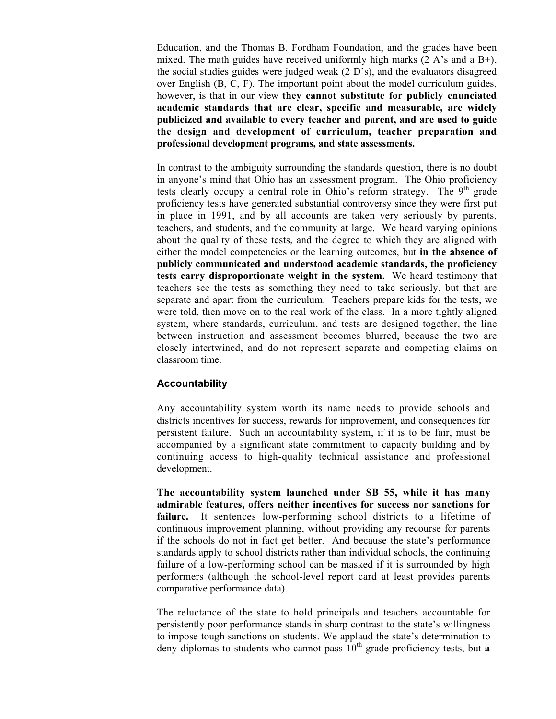Education, and the Thomas B. Fordham Foundation, and the grades have been mixed. The math guides have received uniformly high marks  $(2 \text{ A's and a B+}),$ the social studies guides were judged weak  $(2 \nD's)$ , and the evaluators disagreed over English (B, C, F). The important point about the model curriculum guides, however, is that in our view **they cannot substitute for publicly enunciated academic standards that are clear, specific and measurable, are widely publicized and available to every teacher and parent, and are used to guide the design and development of curriculum, teacher preparation and professional development programs, and state assessments.**

In contrast to the ambiguity surrounding the standards question, there is no doubt in anyone's mind that Ohio has an assessment program. The Ohio proficiency tests clearly occupy a central role in Ohio's reform strategy. The  $9<sup>th</sup>$  grade proficiency tests have generated substantial controversy since they were first put in place in 1991, and by all accounts are taken very seriously by parents, teachers, and students, and the community at large. We heard varying opinions about the quality of these tests, and the degree to which they are aligned with either the model competencies or the learning outcomes, but **in the absence of publicly communicated and understood academic standards, the proficiency tests carry disproportionate weight in the system.** We heard testimony that teachers see the tests as something they need to take seriously, but that are separate and apart from the curriculum. Teachers prepare kids for the tests, we were told, then move on to the real work of the class. In a more tightly aligned system, where standards, curriculum, and tests are designed together, the line between instruction and assessment becomes blurred, because the two are closely intertwined, and do not represent separate and competing claims on classroom time.

#### **Accountability**

Any accountability system worth its name needs to provide schools and districts incentives for success, rewards for improvement, and consequences for persistent failure. Such an accountability system, if it is to be fair, must be accompanied by a significant state commitment to capacity building and by continuing access to high-quality technical assistance and professional development.

**The accountability system launched under SB 55, while it has many admirable features, offers neither incentives for success nor sanctions for failure.** It sentences low-performing school districts to a lifetime of continuous improvement planning, without providing any recourse for parents if the schools do not in fact get better. And because the state's performance standards apply to school districts rather than individual schools, the continuing failure of a low-performing school can be masked if it is surrounded by high performers (although the school-level report card at least provides parents comparative performance data).

The reluctance of the state to hold principals and teachers accountable for persistently poor performance stands in sharp contrast to the state's willingness to impose tough sanctions on students. We applaud the state's determination to deny diplomas to students who cannot pass  $10<sup>th</sup>$  grade proficiency tests, but **a**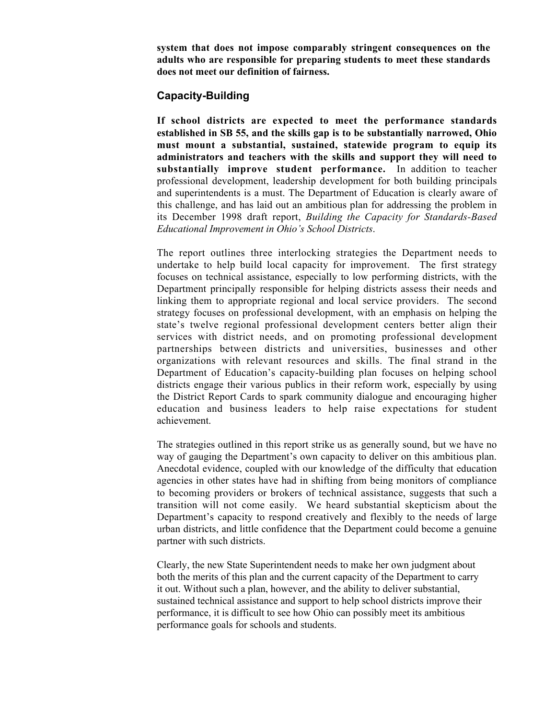**system that does not impose comparably stringent consequences on the adults who are responsible for preparing students to meet these standards does not meet our definition of fairness.**

#### **Capacity-Building**

**If school districts are expected to meet the performance standards established in SB 55, and the skills gap is to be substantially narrowed, Ohio must mount a substantial, sustained, statewide program to equip its administrators and teachers with the skills and support they will need to substantially improve student performance.** In addition to teacher professional development, leadership development for both building principals and superintendents is a must. The Department of Education is clearly aware of this challenge, and has laid out an ambitious plan for addressing the problem in its December 1998 draft report, *Building the Capacity for Standards-Based Educational Improvement in Ohio's School Districts*.

The report outlines three interlocking strategies the Department needs to undertake to help build local capacity for improvement. The first strategy focuses on technical assistance, especially to low performing districts, with the Department principally responsible for helping districts assess their needs and linking them to appropriate regional and local service providers. The second strategy focuses on professional development, with an emphasis on helping the state's twelve regional professional development centers better align their services with district needs, and on promoting professional development partnerships between districts and universities, businesses and other organizations with relevant resources and skills. The final strand in the Department of Education's capacity-building plan focuses on helping school districts engage their various publics in their reform work, especially by using the District Report Cards to spark community dialogue and encouraging higher education and business leaders to help raise expectations for student achievement.

The strategies outlined in this report strike us as generally sound, but we have no way of gauging the Department's own capacity to deliver on this ambitious plan. Anecdotal evidence, coupled with our knowledge of the difficulty that education agencies in other states have had in shifting from being monitors of compliance to becoming providers or brokers of technical assistance, suggests that such a transition will not come easily. We heard substantial skepticism about the Department's capacity to respond creatively and flexibly to the needs of large urban districts, and little confidence that the Department could become a genuine partner with such districts.

Clearly, the new State Superintendent needs to make her own judgment about both the merits of this plan and the current capacity of the Department to carry it out. Without such a plan, however, and the ability to deliver substantial, sustained technical assistance and support to help school districts improve their performance, it is difficult to see how Ohio can possibly meet its ambitious performance goals for schools and students.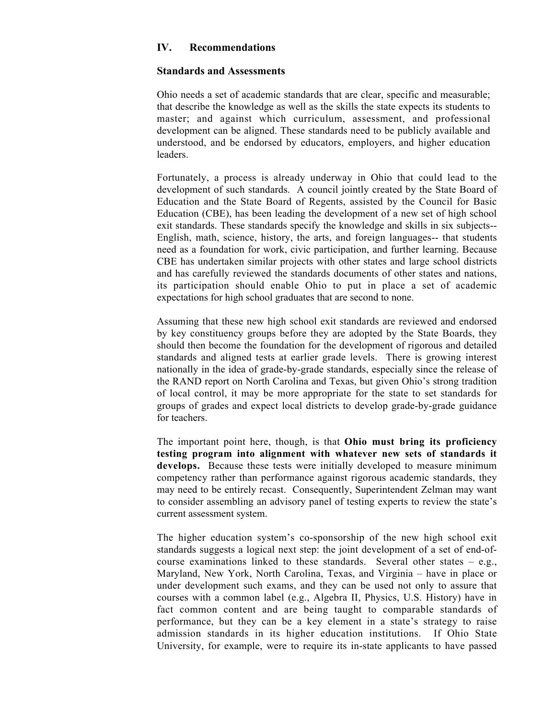#### **IV. Recommendations**

#### **Standards and Assessments**

Ohio needs a set of academic standards that are clear, specific and measurable; that describe the knowledge as well as the skills the state expects its students to master; and against which curriculum, assessment, and professional development can be aligned. These standards need to be publicly available and understood, and be endorsed by educators, employers, and higher education leaders.

Fortunately, a process is already underway in Ohio that could lead to the development of such standards. A council jointly created by the State Board of Education and the State Board of Regents, assisted by the Council for Basic Education (CBE), has been leading the development of a new set of high school exit standards. These standards specify the knowledge and skills in six subjects-- English, math, science, history, the arts, and foreign languages-- that students need as a foundation for work, civic participation, and further learning. Because CBE has undertaken similar projects with other states and large school districts and has carefully reviewed the standards documents of other states and nations, its participation should enable Ohio to put in place a set of academic expectations for high school graduates that are second to none.

Assuming that these new high school exit standards are reviewed and endorsed by key constituency groups before they are adopted by the State Boards, they should then become the foundation for the development of rigorous and detailed standards and aligned tests at earlier grade levels. There is growing interest nationally in the idea of grade-by-grade standards, especially since the release of the RAND report on North Carolina and Texas, but given Ohio's strong tradition of local control, it may be more appropriate for the state to set standards for groups of grades and expect local districts to develop grade-by-grade guidance for teachers.

The important point here, though, is that **Ohio must bring its proficiency testing program into alignment with whatever new sets of standards it develops.** Because these tests were initially developed to measure minimum competency rather than performance against rigorous academic standards, they may need to be entirely recast. Consequently, Superintendent Zelman may want to consider assembling an advisory panel of testing experts to review the state's current assessment system.

The higher education system's co-sponsorship of the new high school exit standards suggests a logical next step: the joint development of a set of end-ofcourse examinations linked to these standards. Several other states  $-$  e.g., Maryland, New York, North Carolina, Texas, and Virginia – have in place or under development such exams, and they can be used not only to assure that courses with a common label (e.g., Algebra II, Physics, U.S. History) have in fact common content and are being taught to comparable standards of performance, but they can be a key element in a state's strategy to raise admission standards in its higher education institutions. If Ohio State University, for example, were to require its in-state applicants to have passed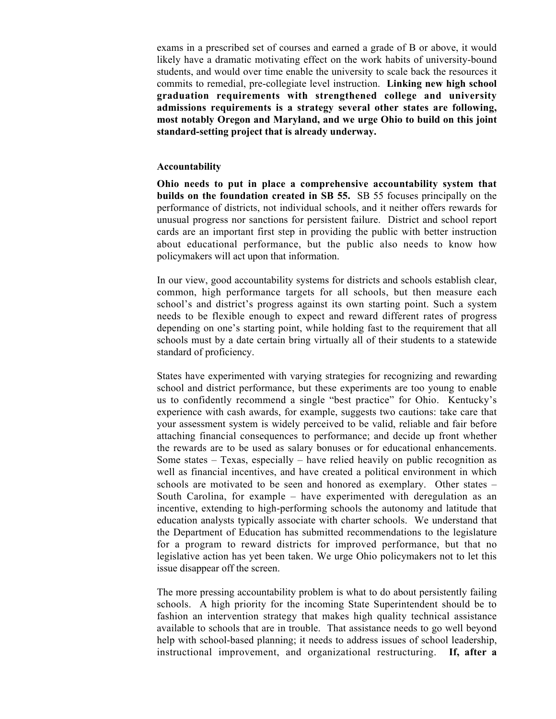exams in a prescribed set of courses and earned a grade of B or above, it would likely have a dramatic motivating effect on the work habits of university-bound students, and would over time enable the university to scale back the resources it commits to remedial, pre-collegiate level instruction. **Linking new high school graduation requirements with strengthened college and university admissions requirements is a strategy several other states are following, most notably Oregon and Maryland, and we urge Ohio to build on this joint standard-setting project that is already underway.**

#### **Accountability**

**Ohio needs to put in place a comprehensive accountability system that builds on the foundation created in SB 55.** SB 55 focuses principally on the performance of districts, not individual schools, and it neither offers rewards for unusual progress nor sanctions for persistent failure. District and school report cards are an important first step in providing the public with better instruction about educational performance, but the public also needs to know how policymakers will act upon that information.

In our view, good accountability systems for districts and schools establish clear, common, high performance targets for all schools, but then measure each school's and district's progress against its own starting point. Such a system needs to be flexible enough to expect and reward different rates of progress depending on one's starting point, while holding fast to the requirement that all schools must by a date certain bring virtually all of their students to a statewide standard of proficiency.

States have experimented with varying strategies for recognizing and rewarding school and district performance, but these experiments are too young to enable us to confidently recommend a single "best practice" for Ohio. Kentucky's experience with cash awards, for example, suggests two cautions: take care that your assessment system is widely perceived to be valid, reliable and fair before attaching financial consequences to performance; and decide up front whether the rewards are to be used as salary bonuses or for educational enhancements. Some states – Texas, especially – have relied heavily on public recognition as well as financial incentives, and have created a political environment in which schools are motivated to be seen and honored as exemplary. Other states – South Carolina, for example – have experimented with deregulation as an incentive, extending to high-performing schools the autonomy and latitude that education analysts typically associate with charter schools. We understand that the Department of Education has submitted recommendations to the legislature for a program to reward districts for improved performance, but that no legislative action has yet been taken. We urge Ohio policymakers not to let this issue disappear off the screen.

The more pressing accountability problem is what to do about persistently failing schools. A high priority for the incoming State Superintendent should be to fashion an intervention strategy that makes high quality technical assistance available to schools that are in trouble. That assistance needs to go well beyond help with school-based planning; it needs to address issues of school leadership, instructional improvement, and organizational restructuring. **If, after a**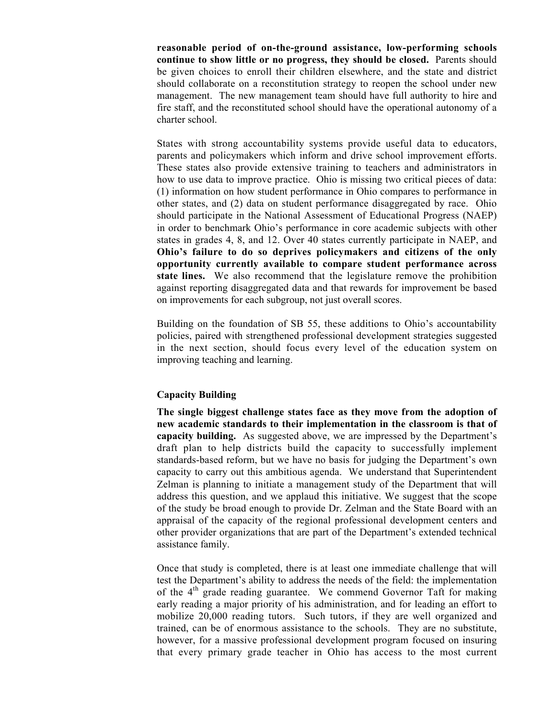**reasonable period of on-the-ground assistance, low-performing schools continue to show little or no progress, they should be closed.** Parents should be given choices to enroll their children elsewhere, and the state and district should collaborate on a reconstitution strategy to reopen the school under new management. The new management team should have full authority to hire and fire staff, and the reconstituted school should have the operational autonomy of a charter school.

States with strong accountability systems provide useful data to educators, parents and policymakers which inform and drive school improvement efforts. These states also provide extensive training to teachers and administrators in how to use data to improve practice. Ohio is missing two critical pieces of data: (1) information on how student performance in Ohio compares to performance in other states, and (2) data on student performance disaggregated by race. Ohio should participate in the National Assessment of Educational Progress (NAEP) in order to benchmark Ohio's performance in core academic subjects with other states in grades 4, 8, and 12. Over 40 states currently participate in NAEP, and **Ohio's failure to do so deprives policymakers and citizens of the only opportunity currently available to compare student performance across state lines.** We also recommend that the legislature remove the prohibition against reporting disaggregated data and that rewards for improvement be based on improvements for each subgroup, not just overall scores.

Building on the foundation of SB 55, these additions to Ohio's accountability policies, paired with strengthened professional development strategies suggested in the next section, should focus every level of the education system on improving teaching and learning.

#### **Capacity Building**

**The single biggest challenge states face as they move from the adoption of new academic standards to their implementation in the classroom is that of capacity building.** As suggested above, we are impressed by the Department's draft plan to help districts build the capacity to successfully implement standards-based reform, but we have no basis for judging the Department's own capacity to carry out this ambitious agenda. We understand that Superintendent Zelman is planning to initiate a management study of the Department that will address this question, and we applaud this initiative. We suggest that the scope of the study be broad enough to provide Dr. Zelman and the State Board with an appraisal of the capacity of the regional professional development centers and other provider organizations that are part of the Department's extended technical assistance family.

Once that study is completed, there is at least one immediate challenge that will test the Department's ability to address the needs of the field: the implementation of the 4<sup>th</sup> grade reading guarantee. We commend Governor Taft for making early reading a major priority of his administration, and for leading an effort to mobilize 20,000 reading tutors. Such tutors, if they are well organized and trained, can be of enormous assistance to the schools. They are no substitute, however, for a massive professional development program focused on insuring that every primary grade teacher in Ohio has access to the most current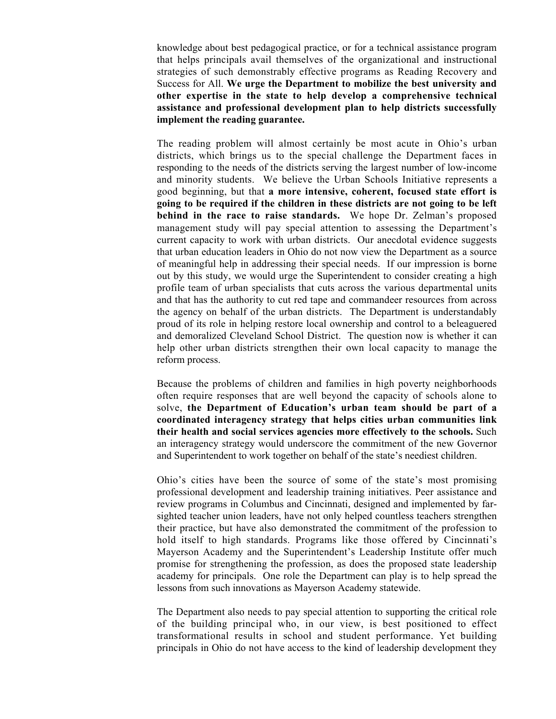knowledge about best pedagogical practice, or for a technical assistance program that helps principals avail themselves of the organizational and instructional strategies of such demonstrably effective programs as Reading Recovery and Success for All. **We urge the Department to mobilize the best university and other expertise in the state to help develop a comprehensive technical assistance and professional development plan to help districts successfully implement the reading guarantee.**

The reading problem will almost certainly be most acute in Ohio's urban districts, which brings us to the special challenge the Department faces in responding to the needs of the districts serving the largest number of low-income and minority students. We believe the Urban Schools Initiative represents a good beginning, but that **a more intensive, coherent, focused state effort is going to be required if the children in these districts are not going to be left behind in the race to raise standards.** We hope Dr. Zelman's proposed management study will pay special attention to assessing the Department's current capacity to work with urban districts. Our anecdotal evidence suggests that urban education leaders in Ohio do not now view the Department as a source of meaningful help in addressing their special needs. If our impression is borne out by this study, we would urge the Superintendent to consider creating a high profile team of urban specialists that cuts across the various departmental units and that has the authority to cut red tape and commandeer resources from across the agency on behalf of the urban districts. The Department is understandably proud of its role in helping restore local ownership and control to a beleaguered and demoralized Cleveland School District. The question now is whether it can help other urban districts strengthen their own local capacity to manage the reform process.

Because the problems of children and families in high poverty neighborhoods often require responses that are well beyond the capacity of schools alone to solve, **the Department of Education's urban team should be part of a coordinated interagency strategy that helps cities urban communities link their health and social services agencies more effectively to the schools.** Such an interagency strategy would underscore the commitment of the new Governor and Superintendent to work together on behalf of the state's neediest children.

Ohio's cities have been the source of some of the state's most promising professional development and leadership training initiatives. Peer assistance and review programs in Columbus and Cincinnati, designed and implemented by farsighted teacher union leaders, have not only helped countless teachers strengthen their practice, but have also demonstrated the commitment of the profession to hold itself to high standards. Programs like those offered by Cincinnati's Mayerson Academy and the Superintendent's Leadership Institute offer much promise for strengthening the profession, as does the proposed state leadership academy for principals. One role the Department can play is to help spread the lessons from such innovations as Mayerson Academy statewide.

The Department also needs to pay special attention to supporting the critical role of the building principal who, in our view, is best positioned to effect transformational results in school and student performance. Yet building principals in Ohio do not have access to the kind of leadership development they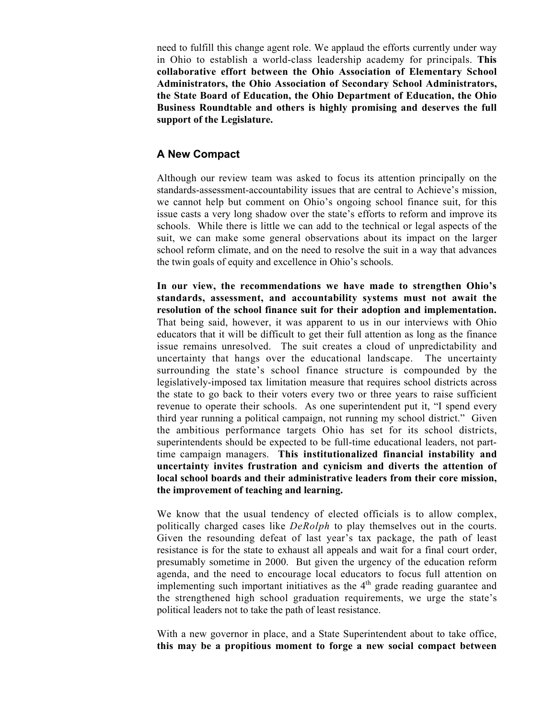need to fulfill this change agent role. We applaud the efforts currently under way in Ohio to establish a world-class leadership academy for principals. **This collaborative effort between the Ohio Association of Elementary School Administrators, the Ohio Association of Secondary School Administrators, the State Board of Education, the Ohio Department of Education, the Ohio Business Roundtable and others is highly promising and deserves the full support of the Legislature.**

#### **A New Compact**

Although our review team was asked to focus its attention principally on the standards-assessment-accountability issues that are central to Achieve's mission, we cannot help but comment on Ohio's ongoing school finance suit, for this issue casts a very long shadow over the state's efforts to reform and improve its schools. While there is little we can add to the technical or legal aspects of the suit, we can make some general observations about its impact on the larger school reform climate, and on the need to resolve the suit in a way that advances the twin goals of equity and excellence in Ohio's schools.

**In our view, the recommendations we have made to strengthen Ohio's standards, assessment, and accountability systems must not await the resolution of the school finance suit for their adoption and implementation.** That being said, however, it was apparent to us in our interviews with Ohio educators that it will be difficult to get their full attention as long as the finance issue remains unresolved. The suit creates a cloud of unpredictability and uncertainty that hangs over the educational landscape. The uncertainty surrounding the state's school finance structure is compounded by the legislatively-imposed tax limitation measure that requires school districts across the state to go back to their voters every two or three years to raise sufficient revenue to operate their schools. As one superintendent put it, "I spend every third year running a political campaign, not running my school district." Given the ambitious performance targets Ohio has set for its school districts, superintendents should be expected to be full-time educational leaders, not parttime campaign managers. **This institutionalized financial instability and uncertainty invites frustration and cynicism and diverts the attention of local school boards and their administrative leaders from their core mission, the improvement of teaching and learning.**

We know that the usual tendency of elected officials is to allow complex, politically charged cases like *DeRolph* to play themselves out in the courts. Given the resounding defeat of last year's tax package, the path of least resistance is for the state to exhaust all appeals and wait for a final court order, presumably sometime in 2000. But given the urgency of the education reform agenda, and the need to encourage local educators to focus full attention on implementing such important initiatives as the  $4<sup>th</sup>$  grade reading guarantee and the strengthened high school graduation requirements, we urge the state's political leaders not to take the path of least resistance.

With a new governor in place, and a State Superintendent about to take office, **this may be a propitious moment to forge a new social compact between**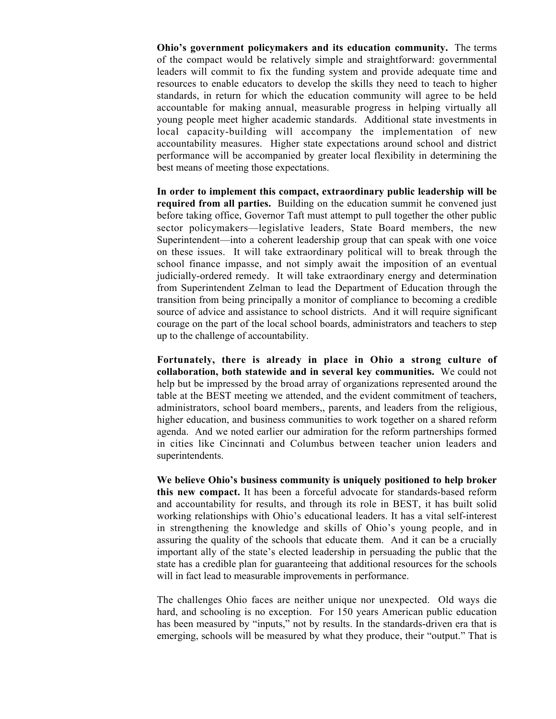**Ohio's government policymakers and its education community.** The terms of the compact would be relatively simple and straightforward: governmental leaders will commit to fix the funding system and provide adequate time and resources to enable educators to develop the skills they need to teach to higher standards, in return for which the education community will agree to be held accountable for making annual, measurable progress in helping virtually all young people meet higher academic standards. Additional state investments in local capacity-building will accompany the implementation of new accountability measures. Higher state expectations around school and district performance will be accompanied by greater local flexibility in determining the best means of meeting those expectations.

**In order to implement this compact, extraordinary public leadership will be required from all parties.** Building on the education summit he convened just before taking office, Governor Taft must attempt to pull together the other public sector policymakers—legislative leaders, State Board members, the new Superintendent—into a coherent leadership group that can speak with one voice on these issues. It will take extraordinary political will to break through the school finance impasse, and not simply await the imposition of an eventual judicially-ordered remedy. It will take extraordinary energy and determination from Superintendent Zelman to lead the Department of Education through the transition from being principally a monitor of compliance to becoming a credible source of advice and assistance to school districts. And it will require significant courage on the part of the local school boards, administrators and teachers to step up to the challenge of accountability.

**Fortunately, there is already in place in Ohio a strong culture of collaboration, both statewide and in several key communities.** We could not help but be impressed by the broad array of organizations represented around the table at the BEST meeting we attended, and the evident commitment of teachers, administrators, school board members,, parents, and leaders from the religious, higher education, and business communities to work together on a shared reform agenda. And we noted earlier our admiration for the reform partnerships formed in cities like Cincinnati and Columbus between teacher union leaders and superintendents.

**We believe Ohio's business community is uniquely positioned to help broker this new compact.** It has been a forceful advocate for standards-based reform and accountability for results, and through its role in BEST, it has built solid working relationships with Ohio's educational leaders. It has a vital self-interest in strengthening the knowledge and skills of Ohio's young people, and in assuring the quality of the schools that educate them. And it can be a crucially important ally of the state's elected leadership in persuading the public that the state has a credible plan for guaranteeing that additional resources for the schools will in fact lead to measurable improvements in performance.

The challenges Ohio faces are neither unique nor unexpected. Old ways die hard, and schooling is no exception. For 150 years American public education has been measured by "inputs," not by results. In the standards-driven era that is emerging, schools will be measured by what they produce, their "output." That is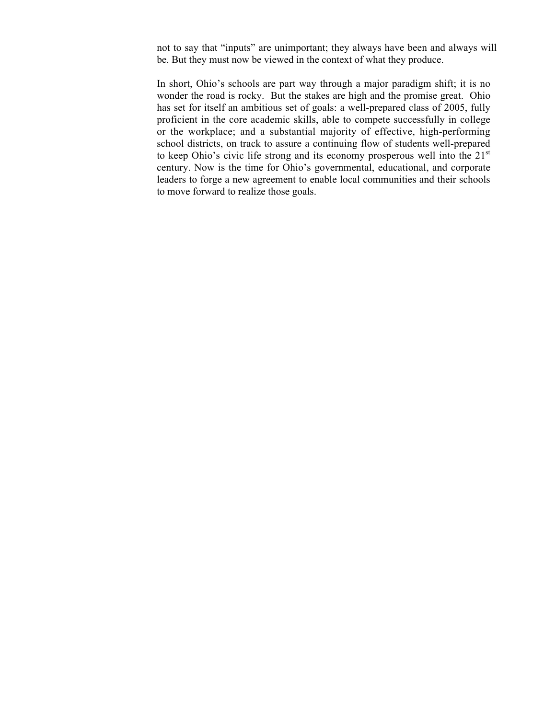not to say that "inputs" are unimportant; they always have been and always will be. But they must now be viewed in the context of what they produce.

In short, Ohio's schools are part way through a major paradigm shift; it is no wonder the road is rocky. But the stakes are high and the promise great. Ohio has set for itself an ambitious set of goals: a well-prepared class of 2005, fully proficient in the core academic skills, able to compete successfully in college or the workplace; and a substantial majority of effective, high-performing school districts, on track to assure a continuing flow of students well-prepared to keep Ohio's civic life strong and its economy prosperous well into the  $21<sup>st</sup>$ century. Now is the time for Ohio's governmental, educational, and corporate leaders to forge a new agreement to enable local communities and their schools to move forward to realize those goals.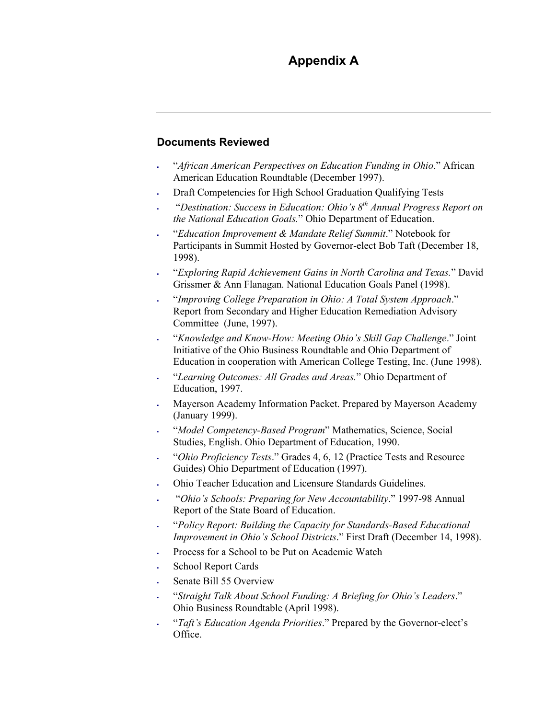# **Appendix A**

#### **Documents Reviewed**

- ! "*African American Perspectives on Education Funding in Ohio*." African American Education Roundtable (December 1997).
- ! Draft Competencies for High School Graduation Qualifying Tests
- ! "*Destination: Success in Education: Ohio's 8th Annual Progress Report on the National Education Goals.*" Ohio Department of Education.
- ! "*Education Improvement & Mandate Relief Summit*." Notebook for Participants in Summit Hosted by Governor-elect Bob Taft (December 18, 1998).
- ! "*Exploring Rapid Achievement Gains in North Carolina and Texas.*" David Grissmer & Ann Flanagan. National Education Goals Panel (1998).
- ! "*Improving College Preparation in Ohio: A Total System Approach*." Report from Secondary and Higher Education Remediation Advisory Committee (June, 1997).
- ! "*Knowledge and Know-How: Meeting Ohio's Skill Gap Challenge*." Joint Initiative of the Ohio Business Roundtable and Ohio Department of Education in cooperation with American College Testing, Inc. (June 1998).
- ! "*Learning Outcomes: All Grades and Areas.*" Ohio Department of Education, 1997.
- ! Mayerson Academy Information Packet. Prepared by Mayerson Academy (January 1999).
- ! "*Model Competency-Based Program*" Mathematics, Science, Social Studies, English. Ohio Department of Education, 1990.
- ! "*Ohio Proficiency Tests*." Grades 4, 6, 12 (Practice Tests and Resource Guides) Ohio Department of Education (1997).
- ! Ohio Teacher Education and Licensure Standards Guidelines.
- ! "*Ohio's Schools: Preparing for New Accountability*." 1997-98 Annual Report of the State Board of Education.
- ! "*Policy Report: Building the Capacity for Standards-Based Educational Improvement in Ohio's School Districts*." First Draft (December 14, 1998).
- ! Process for a School to be Put on Academic Watch
- School Report Cards
- Senate Bill 55 Overview
- ! "*Straight Talk About School Funding: A Briefing for Ohio's Leaders*." Ohio Business Roundtable (April 1998).
- ! "*Taft's Education Agenda Priorities*." Prepared by the Governor-elect's Office.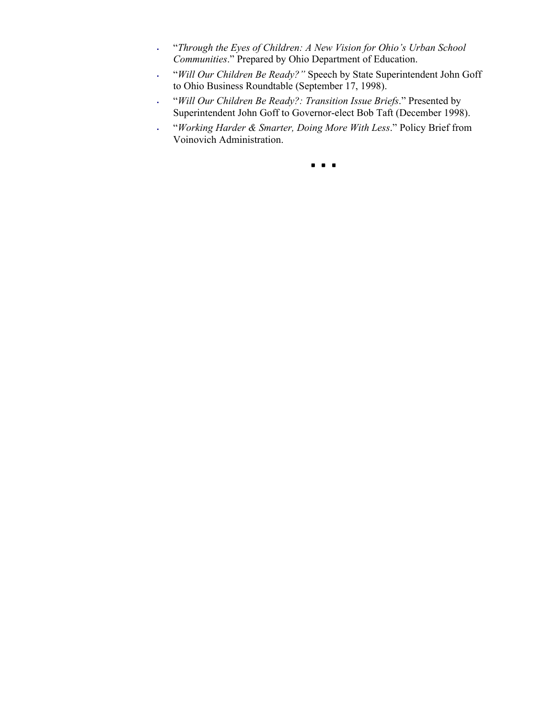- ! "*Through the Eyes of Children: A New Vision for Ohio's Urban School Communities*." Prepared by Ohio Department of Education.
- ! "*Will Our Children Be Ready?"* Speech by State Superintendent John Goff to Ohio Business Roundtable (September 17, 1998).
- ! "*Will Our Children Be Ready?: Transition Issue Briefs*." Presented by Superintendent John Goff to Governor-elect Bob Taft (December 1998).
- ! "*Working Harder & Smarter, Doing More With Less*." Policy Brief from Voinovich Administration.

!!!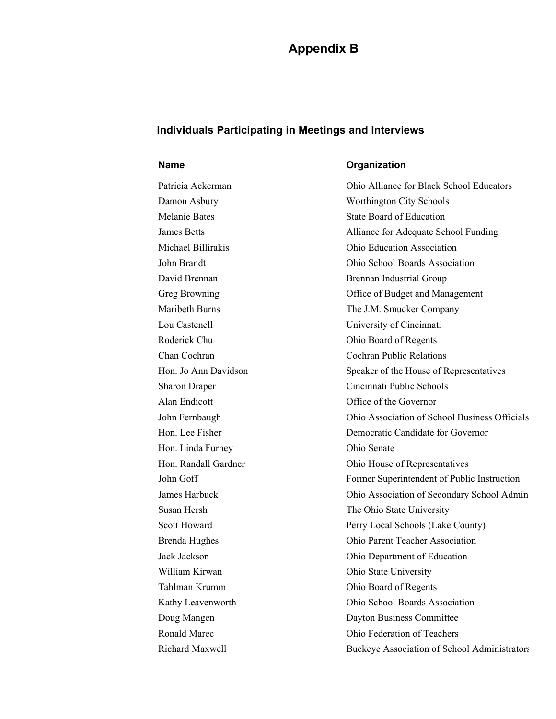#### **Individuals Participating in Meetings and Interviews**

Hon. Linda Furney Ohio Senate William Kirwan **Ohio State University** 

#### **Name Organization**

Patricia Ackerman Ohio Alliance for Black School Educators Damon Asbury Worthington City Schools Melanie Bates State Board of Education James Betts Alliance for Adequate School Funding Michael Billirakis Ohio Education Association John Brandt Ohio School Boards Association David Brennan **Brennan Industrial Group** Greg Browning **Calculation** Office of Budget and Management Maribeth Burns The J.M. Smucker Company Lou Castenell University of Cincinnati Roderick Chu Ohio Board of Regents Chan Cochran Cochran Public Relations Hon. Jo Ann Davidson Speaker of the House of Representatives Sharon Draper Cincinnati Public Schools Alan Endicott **Office of the Governor** John Fernbaugh Ohio Association of School Business Officials Hon. Lee Fisher Democratic Candidate for Governor Hon. Randall Gardner **Ohio House of Representatives** John Goff Former Superintendent of Public Instruction James Harbuck Ohio Association of Secondary School Admin Susan Hersh The Ohio State University Scott Howard Perry Local Schools (Lake County) Brenda Hughes Ohio Parent Teacher Association Jack Jackson Ohio Department of Education Tahlman Krumm Ohio Board of Regents Kathy Leavenworth Ohio School Boards Association Doug Mangen Dayton Business Committee Ronald Marec **Ohio Federation of Teachers** Richard Maxwell Buckeye Association of School Administrators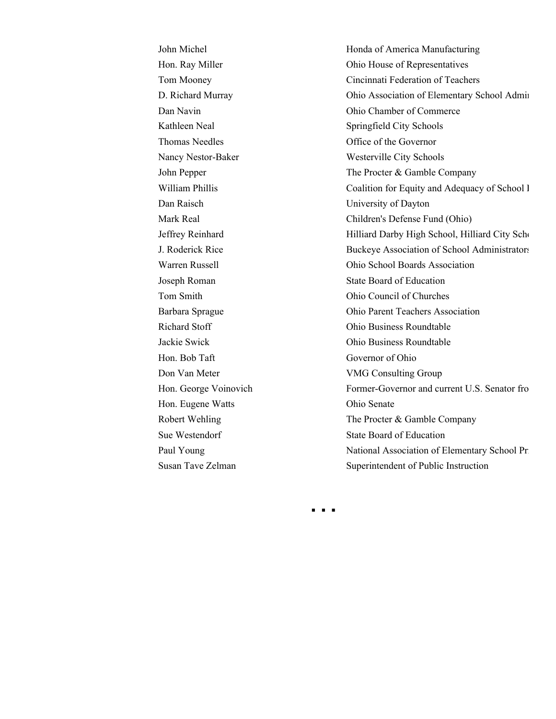Thomas Needles Office of the Governor Dan Raisch University of Dayton Hon. Bob Taft Governor of Ohio Hon. Eugene Watts Ohio Senate

John Michel Honda of America Manufacturing Hon. Ray Miller **Ohio House of Representatives** Tom Mooney Cincinnati Federation of Teachers D. Richard Murray Ohio Association of Elementary School Admin Dan Navin Ohio Chamber of Commerce Kathleen Neal Springfield City Schools Nancy Nestor-Baker Westerville City Schools John Pepper The Procter & Gamble Company William Phillis Coalition for Equity and Adequacy of School I Mark Real Children's Defense Fund (Ohio) Jeffrey Reinhard Hilliard Darby High School, Hilliard City Scho J. Roderick Rice Buckeye Association of School Administrators Warren Russell Ohio School Boards Association Joseph Roman State Board of Education Tom Smith Ohio Council of Churches Barbara Sprague Ohio Parent Teachers Association Richard Stoff Ohio Business Roundtable Jackie Swick Ohio Business Roundtable Don Van Meter VMG Consulting Group Hon. George Voinovich Former-Governor and current U.S. Senator fro Robert Wehling The Procter & Gamble Company Sue Westendorf State Board of Education Paul Young National Association of Elementary School Prince 2. Susan Tave Zelman Superintendent of Public Instruction

! ! !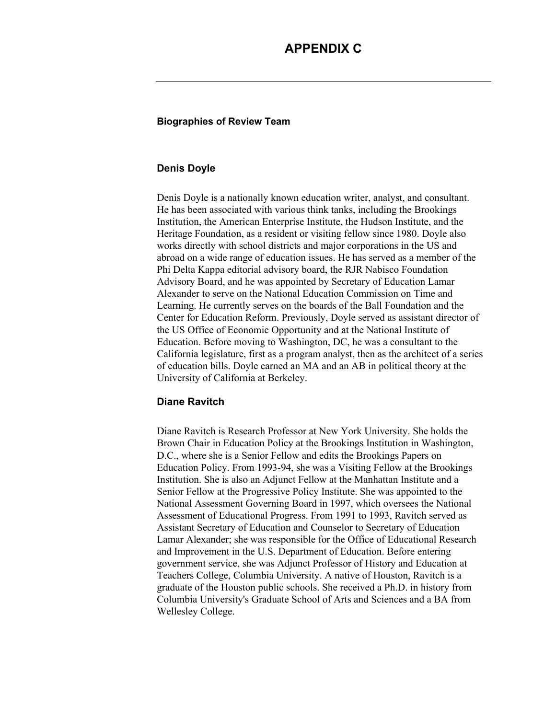## **APPENDIX C**

#### **Biographies of Review Team**

#### **Denis Doyle**

Denis Doyle is a nationally known education writer, analyst, and consultant. He has been associated with various think tanks, including the Brookings Institution, the American Enterprise Institute, the Hudson Institute, and the Heritage Foundation, as a resident or visiting fellow since 1980. Doyle also works directly with school districts and major corporations in the US and abroad on a wide range of education issues. He has served as a member of the Phi Delta Kappa editorial advisory board, the RJR Nabisco Foundation Advisory Board, and he was appointed by Secretary of Education Lamar Alexander to serve on the National Education Commission on Time and Learning. He currently serves on the boards of the Ball Foundation and the Center for Education Reform. Previously, Doyle served as assistant director of the US Office of Economic Opportunity and at the National Institute of Education. Before moving to Washington, DC, he was a consultant to the California legislature, first as a program analyst, then as the architect of a series of education bills. Doyle earned an MA and an AB in political theory at the University of California at Berkeley.

#### **Diane Ravitch**

Diane Ravitch is Research Professor at New York University. She holds the Brown Chair in Education Policy at the Brookings Institution in Washington, D.C., where she is a Senior Fellow and edits the Brookings Papers on Education Policy. From 1993-94, she was a Visiting Fellow at the Brookings Institution. She is also an Adjunct Fellow at the Manhattan Institute and a Senior Fellow at the Progressive Policy Institute. She was appointed to the National Assessment Governing Board in 1997, which oversees the National Assessment of Educational Progress. From 1991 to 1993, Ravitch served as Assistant Secretary of Education and Counselor to Secretary of Education Lamar Alexander; she was responsible for the Office of Educational Research and Improvement in the U.S. Department of Education. Before entering government service, she was Adjunct Professor of History and Education at Teachers College, Columbia University. A native of Houston, Ravitch is a graduate of the Houston public schools. She received a Ph.D. in history from Columbia University's Graduate School of Arts and Sciences and a BA from Wellesley College.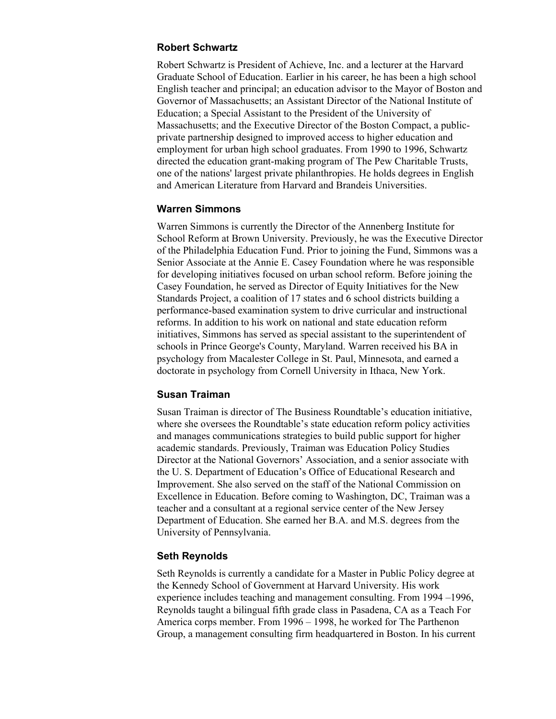#### **Robert Schwartz**

Robert Schwartz is President of Achieve, Inc. and a lecturer at the Harvard Graduate School of Education. Earlier in his career, he has been a high school English teacher and principal; an education advisor to the Mayor of Boston and Governor of Massachusetts; an Assistant Director of the National Institute of Education; a Special Assistant to the President of the University of Massachusetts; and the Executive Director of the Boston Compact, a publicprivate partnership designed to improved access to higher education and employment for urban high school graduates. From 1990 to 1996, Schwartz directed the education grant-making program of The Pew Charitable Trusts, one of the nations' largest private philanthropies. He holds degrees in English and American Literature from Harvard and Brandeis Universities.

#### **Warren Simmons**

Warren Simmons is currently the Director of the Annenberg Institute for School Reform at Brown University. Previously, he was the Executive Director of the Philadelphia Education Fund. Prior to joining the Fund, Simmons was a Senior Associate at the Annie E. Casey Foundation where he was responsible for developing initiatives focused on urban school reform. Before joining the Casey Foundation, he served as Director of Equity Initiatives for the New Standards Project, a coalition of 17 states and 6 school districts building a performance-based examination system to drive curricular and instructional reforms. In addition to his work on national and state education reform initiatives, Simmons has served as special assistant to the superintendent of schools in Prince George's County, Maryland. Warren received his BA in psychology from Macalester College in St. Paul, Minnesota, and earned a doctorate in psychology from Cornell University in Ithaca, New York.

#### **Susan Traiman**

Susan Traiman is director of The Business Roundtable's education initiative, where she oversees the Roundtable's state education reform policy activities and manages communications strategies to build public support for higher academic standards. Previously, Traiman was Education Policy Studies Director at the National Governors' Association, and a senior associate with the U. S. Department of Education's Office of Educational Research and Improvement. She also served on the staff of the National Commission on Excellence in Education. Before coming to Washington, DC, Traiman was a teacher and a consultant at a regional service center of the New Jersey Department of Education. She earned her B.A. and M.S. degrees from the University of Pennsylvania.

#### **Seth Reynolds**

Seth Reynolds is currently a candidate for a Master in Public Policy degree at the Kennedy School of Government at Harvard University. His work experience includes teaching and management consulting. From 1994 –1996, Reynolds taught a bilingual fifth grade class in Pasadena, CA as a Teach For America corps member. From 1996 – 1998, he worked for The Parthenon Group, a management consulting firm headquartered in Boston. In his current